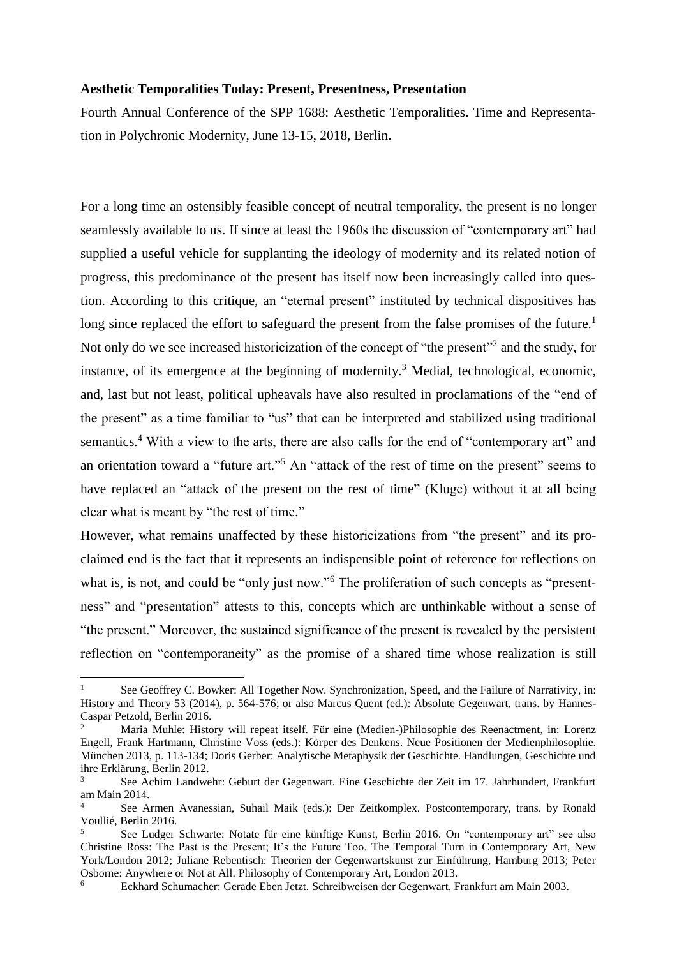## **Aesthetic Temporalities Today: Present, Presentness, Presentation**

Fourth Annual Conference of the SPP 1688: Aesthetic Temporalities. Time and Representation in Polychronic Modernity, June 13-15, 2018, Berlin.

For a long time an ostensibly feasible concept of neutral temporality, the present is no longer seamlessly available to us. If since at least the 1960s the discussion of "contemporary art" had supplied a useful vehicle for supplanting the ideology of modernity and its related notion of progress, this predominance of the present has itself now been increasingly called into question. According to this critique, an "eternal present" instituted by technical dispositives has long since replaced the effort to safeguard the present from the false promises of the future.<sup>1</sup> Not only do we see increased historicization of the concept of "the present"<sup>2</sup> and the study, for instance, of its emergence at the beginning of modernity.<sup>3</sup> Medial, technological, economic, and, last but not least, political upheavals have also resulted in proclamations of the "end of the present" as a time familiar to "us" that can be interpreted and stabilized using traditional semantics.<sup>4</sup> With a view to the arts, there are also calls for the end of "contemporary art" and an orientation toward a "future art."<sup>5</sup> An "attack of the rest of time on the present" seems to have replaced an "attack of the present on the rest of time" (Kluge) without it at all being clear what is meant by "the rest of time."

However, what remains unaffected by these historicizations from "the present" and its proclaimed end is the fact that it represents an indispensible point of reference for reflections on what is, is not, and could be "only just now."<sup>6</sup> The proliferation of such concepts as "presentness" and "presentation" attests to this, concepts which are unthinkable without a sense of "the present." Moreover, the sustained significance of the present is revealed by the persistent reflection on "contemporaneity" as the promise of a shared time whose realization is still

<u>.</u>

See Geoffrey C. Bowker: All Together Now. Synchronization, Speed, and the Failure of Narrativity, in: History and Theory 53 (2014), p. 564-576; or also Marcus Quent (ed.): Absolute Gegenwart, trans. by Hannes-Caspar Petzold, Berlin 2016.

<sup>2</sup> Maria Muhle: History will repeat itself. Für eine (Medien-)Philosophie des Reenactment, in: Lorenz Engell, Frank Hartmann, Christine Voss (eds.): Körper des Denkens. Neue Positionen der Medienphilosophie. München 2013, p. 113-134; Doris Gerber: Analytische Metaphysik der Geschichte. Handlungen, Geschichte und ihre Erklärung, Berlin 2012.

<sup>3</sup> See Achim Landwehr: Geburt der Gegenwart. Eine Geschichte der Zeit im 17. Jahrhundert, Frankfurt am Main 2014.

<sup>4</sup> See Armen Avanessian, Suhail Maik (eds.): Der Zeitkomplex. Postcontemporary, trans. by Ronald Voullié, Berlin 2016.

<sup>5</sup> See Ludger Schwarte: Notate für eine künftige Kunst, Berlin 2016. On "contemporary art" see also Christine Ross: The Past is the Present; It's the Future Too. The Temporal Turn in Contemporary Art, New York/London 2012; Juliane Rebentisch: Theorien der Gegenwartskunst zur Einführung, Hamburg 2013; Peter Osborne: Anywhere or Not at All. Philosophy of Contemporary Art, London 2013.

<sup>6</sup> Eckhard Schumacher: Gerade Eben Jetzt. Schreibweisen der Gegenwart, Frankfurt am Main 2003.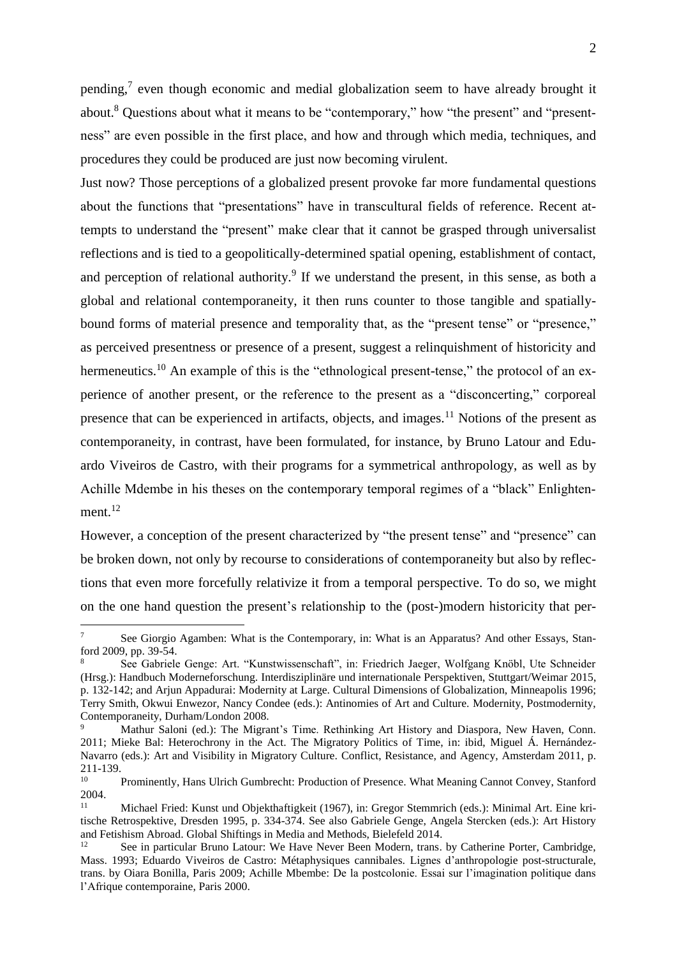pending,<sup>7</sup> even though economic and medial globalization seem to have already brought it about.<sup>8</sup> Questions about what it means to be "contemporary," how "the present" and "presentness" are even possible in the first place, and how and through which media, techniques, and procedures they could be produced are just now becoming virulent.

Just now? Those perceptions of a globalized present provoke far more fundamental questions about the functions that "presentations" have in transcultural fields of reference. Recent attempts to understand the "present" make clear that it cannot be grasped through universalist reflections and is tied to a geopolitically-determined spatial opening, establishment of contact, and perception of relational authority.<sup>9</sup> If we understand the present, in this sense, as both a global and relational contemporaneity, it then runs counter to those tangible and spatiallybound forms of material presence and temporality that, as the "present tense" or "presence," as perceived presentness or presence of a present, suggest a relinquishment of historicity and hermeneutics.<sup>10</sup> An example of this is the "ethnological present-tense," the protocol of an experience of another present, or the reference to the present as a "disconcerting," corporeal presence that can be experienced in artifacts, objects, and images.<sup>11</sup> Notions of the present as contemporaneity, in contrast, have been formulated, for instance, by Bruno Latour and Eduardo Viveiros de Castro, with their programs for a symmetrical anthropology, as well as by Achille Mdembe in his theses on the contemporary temporal regimes of a "black" Enlightenment.<sup>12</sup>

However, a conception of the present characterized by "the present tense" and "presence" can be broken down, not only by recourse to considerations of contemporaneity but also by reflections that even more forcefully relativize it from a temporal perspective. To do so, we might on the one hand question the present's relationship to the (post-)modern historicity that per-

1

See Giorgio Agamben: What is the Contemporary, in: What is an Apparatus? And other Essays, Stanford 2009, pp. 39-54.

<sup>8</sup> See Gabriele Genge: Art. "Kunstwissenschaft", in: Friedrich Jaeger, Wolfgang Knöbl, Ute Schneider (Hrsg.): Handbuch Moderneforschung. Interdisziplinäre und internationale Perspektiven, Stuttgart/Weimar 2015, p. 132-142; and Arjun Appadurai: Modernity at Large. Cultural Dimensions of Globalization, Minneapolis 1996; Terry Smith, Okwui Enwezor, Nancy Condee (eds.): Antinomies of Art and Culture. Modernity, Postmodernity, Contemporaneity, Durham/London 2008.

Mathur Saloni (ed.): The Migrant's Time. Rethinking Art History and Diaspora, New Haven, Conn. 2011; Mieke Bal: Heterochrony in the Act. The Migratory Politics of Time, in: ibid, Miguel Á. Hernández-Navarro (eds.): Art and Visibility in Migratory Culture. Conflict, Resistance, and Agency, Amsterdam 2011, p. 211-139.

<sup>10</sup> Prominently, Hans Ulrich Gumbrecht: Production of Presence. What Meaning Cannot Convey, Stanford 2004.

<sup>11</sup> Michael Fried: Kunst und Objekthaftigkeit (1967), in: Gregor Stemmrich (eds.): Minimal Art. Eine kritische Retrospektive, Dresden 1995, p. 334-374. See also Gabriele Genge, Angela Stercken (eds.): Art History and Fetishism Abroad. Global Shiftings in Media and Methods, Bielefeld 2014.

<sup>&</sup>lt;sup>12</sup> See in particular Bruno Latour: We Have Never Been Modern, trans. by Catherine Porter, Cambridge, Mass. 1993; Eduardo Viveiros de Castro: Métaphysiques cannibales. Lignes d'anthropologie post-structurale, trans. by Oiara Bonilla, Paris 2009; Achille Mbembe: De la postcolonie. Essai sur l'imagination politique dans l'Afrique contemporaine, Paris 2000.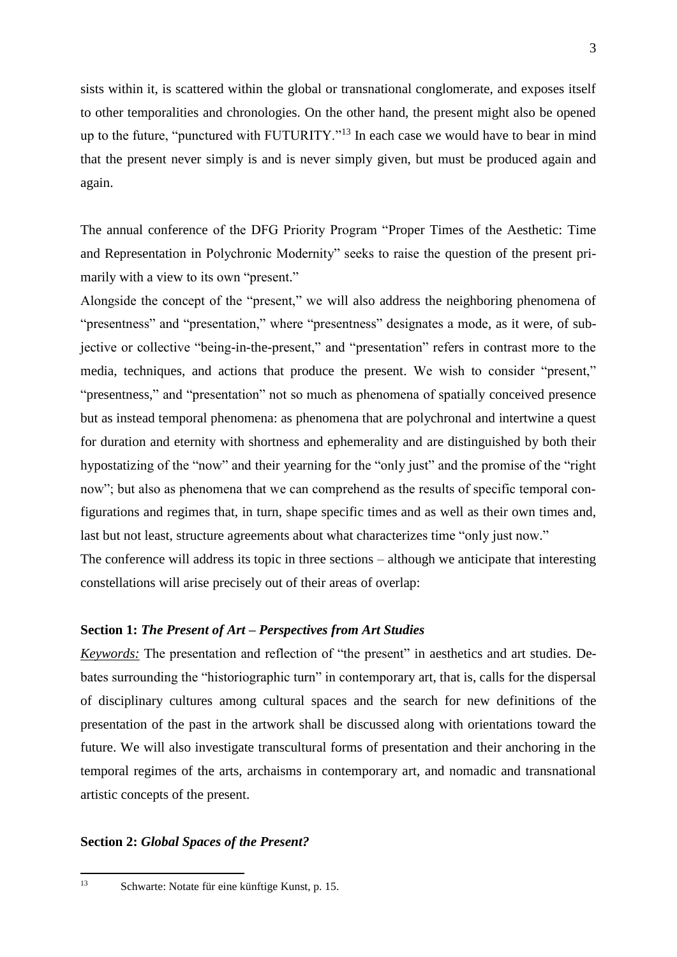sists within it, is scattered within the global or transnational conglomerate, and exposes itself to other temporalities and chronologies. On the other hand, the present might also be opened up to the future, "punctured with FUTURITY."<sup>13</sup> In each case we would have to bear in mind that the present never simply is and is never simply given, but must be produced again and again.

The annual conference of the DFG Priority Program "Proper Times of the Aesthetic: Time and Representation in Polychronic Modernity" seeks to raise the question of the present primarily with a view to its own "present."

Alongside the concept of the "present," we will also address the neighboring phenomena of "presentness" and "presentation," where "presentness" designates a mode, as it were, of subjective or collective "being-in-the-present," and "presentation" refers in contrast more to the media, techniques, and actions that produce the present. We wish to consider "present," "presentness," and "presentation" not so much as phenomena of spatially conceived presence but as instead temporal phenomena: as phenomena that are polychronal and intertwine a quest for duration and eternity with shortness and ephemerality and are distinguished by both their hypostatizing of the "now" and their yearning for the "only just" and the promise of the "right now"; but also as phenomena that we can comprehend as the results of specific temporal configurations and regimes that, in turn, shape specific times and as well as their own times and, last but not least, structure agreements about what characterizes time "only just now."

The conference will address its topic in three sections – although we anticipate that interesting constellations will arise precisely out of their areas of overlap:

## **Section 1:** *The Present of Art – Perspectives from Art Studies*

*Keywords:* The presentation and reflection of "the present" in aesthetics and art studies. Debates surrounding the "historiographic turn" in contemporary art, that is, calls for the dispersal of disciplinary cultures among cultural spaces and the search for new definitions of the presentation of the past in the artwork shall be discussed along with orientations toward the future. We will also investigate transcultural forms of presentation and their anchoring in the temporal regimes of the arts, archaisms in contemporary art, and nomadic and transnational artistic concepts of the present.

## **Section 2:** *Global Spaces of the Present?*

 $13$ 

<sup>13</sup> Schwarte: Notate für eine künftige Kunst, p. 15.